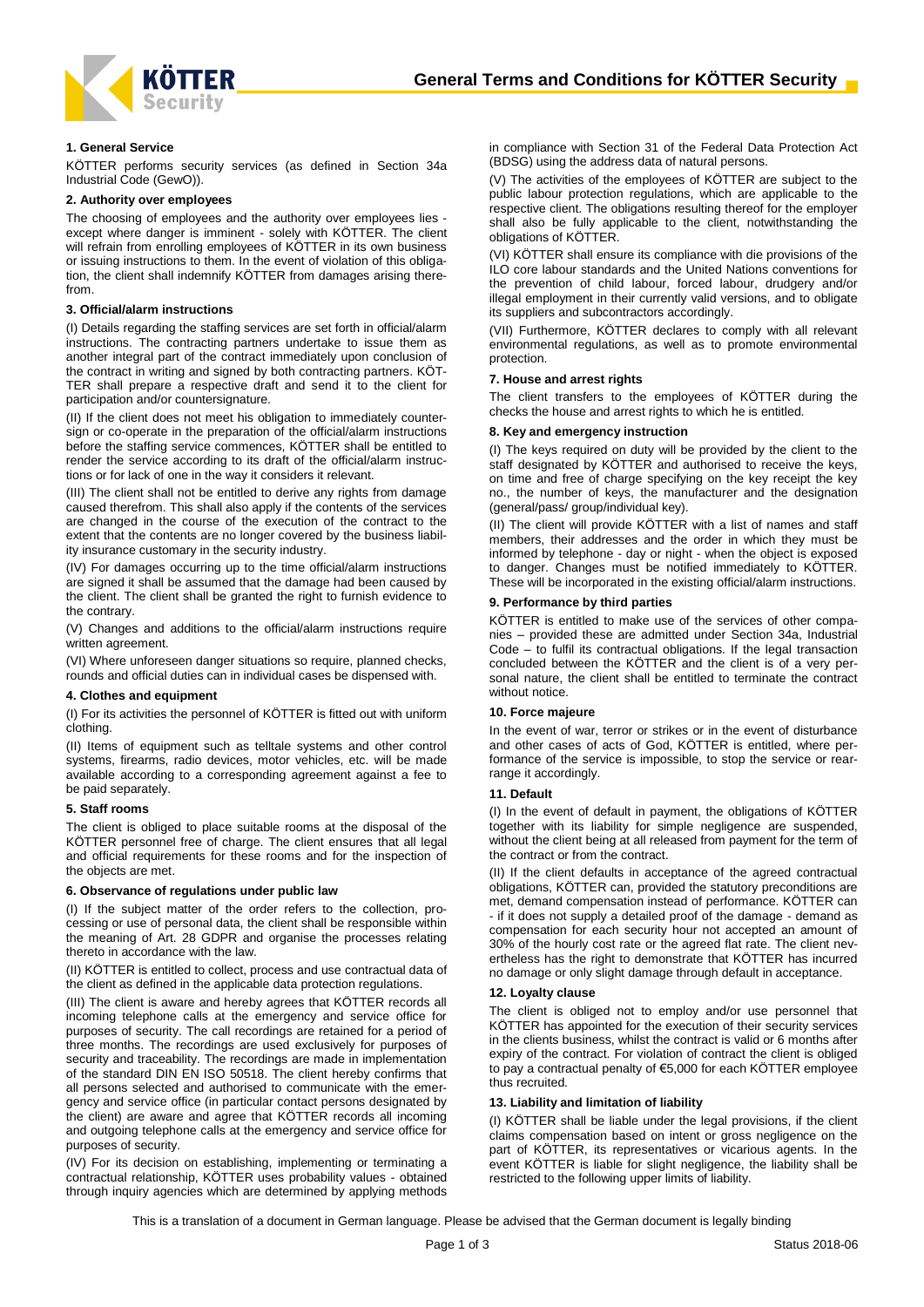

# **1. General Service**

KÖTTER performs security services (as defined in Section 34a Industrial Code (GewO)).

# **2. Authority over employees**

The choosing of employees and the authority over employees lies except where danger is imminent - solely with KÖTTER. The client will refrain from enrolling employees of KÖTTER in its own business or issuing instructions to them. In the event of violation of this obligation, the client shall indemnify KÖTTER from damages arising therefrom.

## **3. Official/alarm instructions**

(I) Details regarding the staffing services are set forth in official/alarm instructions. The contracting partners undertake to issue them as another integral part of the contract immediately upon conclusion of the contract in writing and signed by both contracting partners. KÖT-TER shall prepare a respective draft and send it to the client for participation and/or countersignature.

(II) If the client does not meet his obligation to immediately countersign or co-operate in the preparation of the official/alarm instructions before the staffing service commences, KÖTTER shall be entitled to render the service according to its draft of the official/alarm instructions or for lack of one in the way it considers it relevant.

(III) The client shall not be entitled to derive any rights from damage caused therefrom. This shall also apply if the contents of the services are changed in the course of the execution of the contract to the extent that the contents are no longer covered by the business liability insurance customary in the security industry.

(IV) For damages occurring up to the time official/alarm instructions are signed it shall be assumed that the damage had been caused by the client. The client shall be granted the right to furnish evidence to the contrary.

(V) Changes and additions to the official/alarm instructions require written agreement.

(VI) Where unforeseen danger situations so require, planned checks, rounds and official duties can in individual cases be dispensed with.

#### **4. Clothes and equipment**

(I) For its activities the personnel of KÖTTER is fitted out with uniform clothing.

(II) Items of equipment such as telltale systems and other control systems, firearms, radio devices, motor vehicles, etc. will be made available according to a corresponding agreement against a fee to be paid separately.

## **5. Staff rooms**

The client is obliged to place suitable rooms at the disposal of the KÖTTER personnel free of charge. The client ensures that all legal and official requirements for these rooms and for the inspection of the objects are met.

#### **6. Observance of regulations under public law**

(I) If the subject matter of the order refers to the collection, processing or use of personal data, the client shall be responsible within the meaning of Art. 28 GDPR and organise the processes relating thereto in accordance with the law.

(II) KÖTTER is entitled to collect, process and use contractual data of the client as defined in the applicable data protection regulations.

(III) The client is aware and hereby agrees that KÖTTER records all incoming telephone calls at the emergency and service office for purposes of security. The call recordings are retained for a period of three months. The recordings are used exclusively for purposes of security and traceability. The recordings are made in implementation of the standard DIN EN ISO 50518. The client hereby confirms that all persons selected and authorised to communicate with the emergency and service office (in particular contact persons designated by the client) are aware and agree that KÖTTER records all incoming and outgoing telephone calls at the emergency and service office for purposes of security.

(IV) For its decision on establishing, implementing or terminating a contractual relationship, KÖTTER uses probability values - obtained through inquiry agencies which are determined by applying methods in compliance with Section 31 of the Federal Data Protection Act (BDSG) using the address data of natural persons.

(V) The activities of the employees of KÖTTER are subject to the public labour protection regulations, which are applicable to the respective client. The obligations resulting thereof for the employer shall also be fully applicable to the client, notwithstanding the obligations of KÖTTER.

(VI) KÖTTER shall ensure its compliance with die provisions of the ILO core labour standards and the United Nations conventions for the prevention of child labour, forced labour, drudgery and/or illegal employment in their currently valid versions, and to obligate its suppliers and subcontractors accordingly.

(VII) Furthermore, KÖTTER declares to comply with all relevant environmental regulations, as well as to promote environmental protection.

# **7. House and arrest rights**

The client transfers to the employees of KÖTTER during the checks the house and arrest rights to which he is entitled.

# **8. Key and emergency instruction**

(I) The keys required on duty will be provided by the client to the staff designated by KÖTTER and authorised to receive the keys, on time and free of charge specifying on the key receipt the key no., the number of keys, the manufacturer and the designation (general/pass/ group/individual key).

(II) The client will provide KÖTTER with a list of names and staff members, their addresses and the order in which they must be informed by telephone - day or night - when the object is exposed to danger. Changes must be notified immediately to KÖTTER. These will be incorporated in the existing official/alarm instructions.

#### **9. Performance by third parties**

KÖTTER is entitled to make use of the services of other companies – provided these are admitted under Section 34a, Industrial Code – to fulfil its contractual obligations. If the legal transaction concluded between the KÖTTER and the client is of a very personal nature, the client shall be entitled to terminate the contract without notice.

#### **10. Force majeure**

In the event of war, terror or strikes or in the event of disturbance and other cases of acts of God, KÖTTER is entitled, where performance of the service is impossible, to stop the service or rearrange it accordingly.

#### **11. Default**

(I) In the event of default in payment, the obligations of KÖTTER together with its liability for simple negligence are suspended, without the client being at all released from payment for the term of the contract or from the contract.

(II) If the client defaults in acceptance of the agreed contractual obligations, KÖTTER can, provided the statutory preconditions are met, demand compensation instead of performance. KÖTTER can - if it does not supply a detailed proof of the damage - demand as compensation for each security hour not accepted an amount of 30% of the hourly cost rate or the agreed flat rate. The client nevertheless has the right to demonstrate that KÖTTER has incurred no damage or only slight damage through default in acceptance.

#### **12. Loyalty clause**

The client is obliged not to employ and/or use personnel that KÖTTER has appointed for the execution of their security services in the clients business, whilst the contract is valid or 6 months after expiry of the contract. For violation of contract the client is obliged to pay a contractual penalty of €5,000 for each KÖTTER employee thus recruited.

#### **13. Liability and limitation of liability**

(I) KÖTTER shall be liable under the legal provisions, if the client claims compensation based on intent or gross negligence on the part of KÖTTER, its representatives or vicarious agents. In the event KÖTTER is liable for slight negligence, the liability shall be restricted to the following upper limits of liability.

This is a translation of a document in German language. Please be advised that the German document is legally binding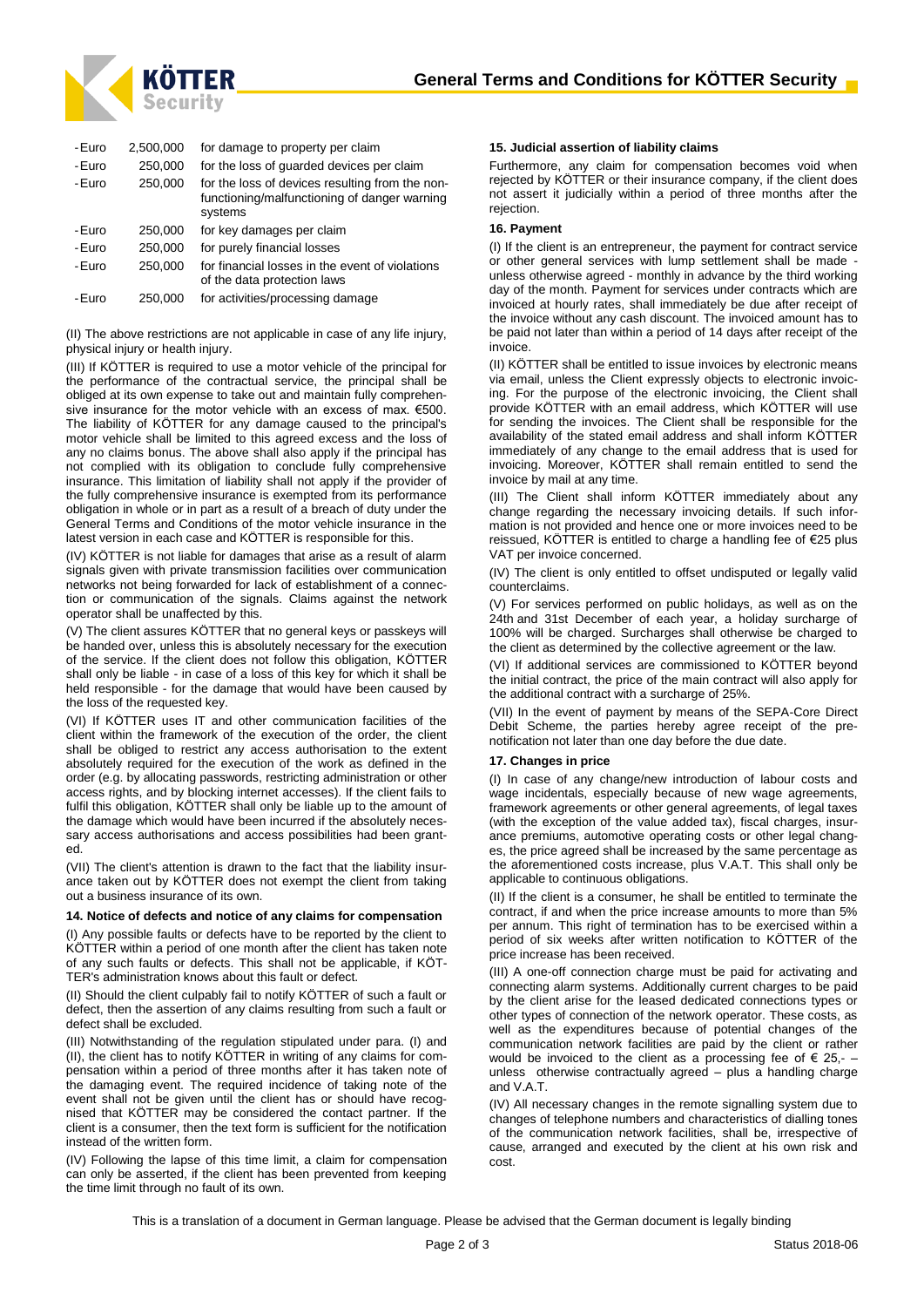

| -Euro | 2,500,000 | for damage to property per claim                                                                           |
|-------|-----------|------------------------------------------------------------------------------------------------------------|
| -Euro | 250,000   | for the loss of guarded devices per claim                                                                  |
| -Euro | 250,000   | for the loss of devices resulting from the non-<br>functioning/malfunctioning of danger warning<br>systems |
| -Euro | 250.000   | for key damages per claim                                                                                  |
| -Euro | 250,000   | for purely financial losses                                                                                |
| -Euro | 250,000   | for financial losses in the event of violations<br>of the data protection laws                             |
| -Euro | 250,000   | for activities/processing damage                                                                           |

(II) The above restrictions are not applicable in case of any life injury, physical injury or health injury.

(III) If KÖTTER is required to use a motor vehicle of the principal for the performance of the contractual service, the principal shall be obliged at its own expense to take out and maintain fully comprehensive insurance for the motor vehicle with an excess of max. €500. The liability of KÖTTER for any damage caused to the principal's motor vehicle shall be limited to this agreed excess and the loss of any no claims bonus. The above shall also apply if the principal has not complied with its obligation to conclude fully comprehensive insurance. This limitation of liability shall not apply if the provider of the fully comprehensive insurance is exempted from its performance obligation in whole or in part as a result of a breach of duty under the General Terms and Conditions of the motor vehicle insurance in the latest version in each case and KÖTTER is responsible for this.

(IV) KÖTTER is not liable for damages that arise as a result of alarm signals given with private transmission facilities over communication networks not being forwarded for lack of establishment of a connection or communication of the signals. Claims against the network operator shall be unaffected by this.

(V) The client assures KÖTTER that no general keys or passkeys will be handed over, unless this is absolutely necessary for the execution of the service. If the client does not follow this obligation, KÖTTER shall only be liable - in case of a loss of this key for which it shall be held responsible - for the damage that would have been caused by the loss of the requested key.

(VI) If KÖTTER uses IT and other communication facilities of the client within the framework of the execution of the order, the client shall be obliged to restrict any access authorisation to the extent absolutely required for the execution of the work as defined in the order (e.g. by allocating passwords, restricting administration or other access rights, and by blocking internet accesses). If the client fails to fulfil this obligation, KÖTTER shall only be liable up to the amount of the damage which would have been incurred if the absolutely necessary access authorisations and access possibilities had been granted.

(VII) The client's attention is drawn to the fact that the liability insurance taken out by KÖTTER does not exempt the client from taking out a business insurance of its own.

#### **14. Notice of defects and notice of any claims for compensation**

(I) Any possible faults or defects have to be reported by the client to KÖTTER within a period of one month after the client has taken note of any such faults or defects. This shall not be applicable, if KÖT-TER's administration knows about this fault or defect.

(II) Should the client culpably fail to notify KÖTTER of such a fault or defect, then the assertion of any claims resulting from such a fault or defect shall be excluded.

(III) Notwithstanding of the regulation stipulated under para. (I) and (II), the client has to notify KÖTTER in writing of any claims for compensation within a period of three months after it has taken note of the damaging event. The required incidence of taking note of the event shall not be given until the client has or should have recognised that KÖTTER may be considered the contact partner. If the client is a consumer, then the text form is sufficient for the notification instead of the written form.

(IV) Following the lapse of this time limit, a claim for compensation can only be asserted, if the client has been prevented from keeping the time limit through no fault of its own.

## **15. Judicial assertion of liability claims**

Furthermore, any claim for compensation becomes void when rejected by KÖTTER or their insurance company, if the client does not assert it judicially within a period of three months after the rejection.

# **16. Payment**

(I) If the client is an entrepreneur, the payment for contract service or other general services with lump settlement shall be made unless otherwise agreed - monthly in advance by the third working day of the month. Payment for services under contracts which are invoiced at hourly rates, shall immediately be due after receipt of the invoice without any cash discount. The invoiced amount has to be paid not later than within a period of 14 days after receipt of the invoice.

(II) KÖTTER shall be entitled to issue invoices by electronic means via email, unless the Client expressly objects to electronic invoicing. For the purpose of the electronic invoicing, the Client shall provide KÖTTER with an email address, which KÖTTER will use for sending the invoices. The Client shall be responsible for the availability of the stated email address and shall inform KÖTTER immediately of any change to the email address that is used for invoicing. Moreover, KÖTTER shall remain entitled to send the invoice by mail at any time.

(III) The Client shall inform KÖTTER immediately about any change regarding the necessary invoicing details. If such information is not provided and hence one or more invoices need to be reissued, KÖTTER is entitled to charge a handling fee of €25 plus VAT per invoice concerned.

(IV) The client is only entitled to offset undisputed or legally valid counterclaims.

(V) For services performed on public holidays, as well as on the 24th and 31st December of each year, a holiday surcharge of 100% will be charged. Surcharges shall otherwise be charged to the client as determined by the collective agreement or the law.

(VI) If additional services are commissioned to KÖTTER beyond the initial contract, the price of the main contract will also apply for the additional contract with a surcharge of 25%.

(VII) In the event of payment by means of the SEPA-Core Direct Debit Scheme, the parties hereby agree receipt of the prenotification not later than one day before the due date.

#### **17. Changes in price**

(I) In case of any change/new introduction of labour costs and wage incidentals, especially because of new wage agreements, framework agreements or other general agreements, of legal taxes (with the exception of the value added tax), fiscal charges, insurance premiums, automotive operating costs or other legal changes, the price agreed shall be increased by the same percentage as the aforementioned costs increase, plus V.A.T. This shall only be applicable to continuous obligations.

(II) If the client is a consumer, he shall be entitled to terminate the contract, if and when the price increase amounts to more than 5% per annum. This right of termination has to be exercised within a period of six weeks after written notification to KÖTTER of the price increase has been received.

(III) A one-off connection charge must be paid for activating and connecting alarm systems. Additionally current charges to be paid by the client arise for the leased dedicated connections types or other types of connection of the network operator. These costs, as well as the expenditures because of potential changes of the communication network facilities are paid by the client or rather would be invoiced to the client as a processing fee of  $\epsilon$  25,unless otherwise contractually agreed – plus a handling charge and V.A.T.

(IV) All necessary changes in the remote signalling system due to changes of telephone numbers and characteristics of dialling tones of the communication network facilities, shall be, irrespective of cause, arranged and executed by the client at his own risk and cost.

This is a translation of a document in German language. Please be advised that the German document is legally binding